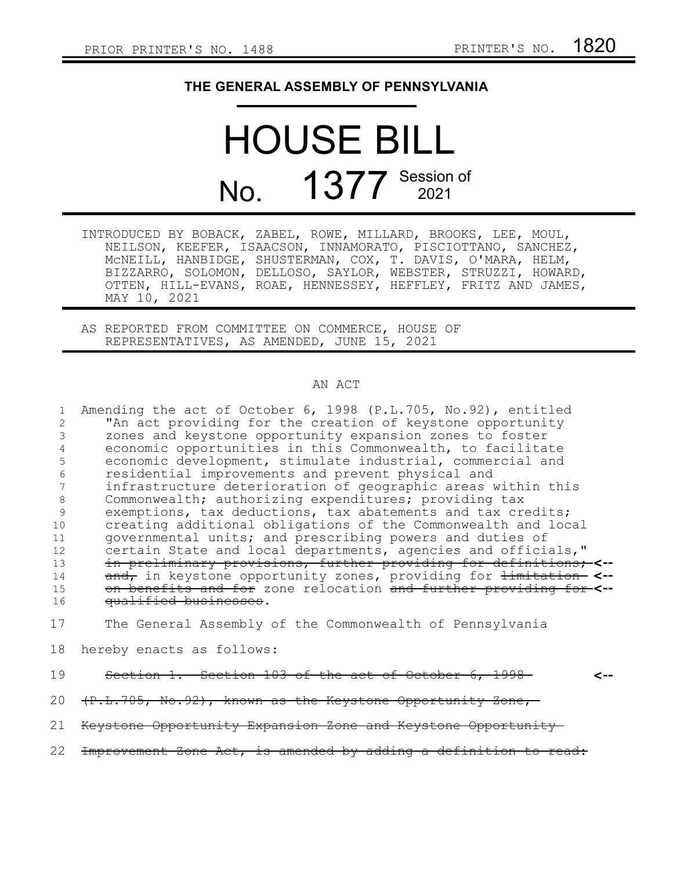## **THE GENERAL ASSEMBLY OF PENNSYLVANIA**

## HOUSE BILL No. 1377 Session of

|              | INTRODUCED BY BOBACK, ZABEL, ROWE, MILLARD, BROOKS, LEE, MOUL, |
|--------------|----------------------------------------------------------------|
|              | NEILSON, KEEFER, ISAACSON, INNAMORATO, PISCIOTTANO, SANCHEZ,   |
|              | MCNEILL, HANBIDGE, SHUSTERMAN, COX, T. DAVIS, O'MARA, HELM,    |
|              | BIZZARRO, SOLOMON, DELLOSO, SAYLOR, WEBSTER, STRUZZI, HOWARD,  |
|              | OTTEN, HILL-EVANS, ROAE, HENNESSEY, HEFFLEY, FRITZ AND JAMES,  |
| MAY 10, 2021 |                                                                |

AS REPORTED FROM COMMITTEE ON COMMERCE, HOUSE OF REPRESENTATIVES, AS AMENDED, JUNE 15, 2021

## AN ACT

|               | Amending the act of October 6, 1998 (P.L.705, No.92), entitled              |
|---------------|-----------------------------------------------------------------------------|
|               | "An act providing for the creation of keystone opportunity                  |
|               | zones and keystone opportunity expansion zones to foster                    |
|               | economic opportunities in this Commonwealth, to facilitate                  |
| 5             | economic development, stimulate industrial, commercial and                  |
| 6             | residential improvements and prevent physical and                           |
|               | infrastructure deterioration of geographic areas within this                |
| 8             | Commonwealth; authorizing expenditures; providing tax                       |
| $\mathcal{Q}$ | exemptions, tax deductions, tax abatements and tax credits;                 |
| 10            | creating additional obligations of the Commonwealth and local               |
| 11            | governmental units; and prescribing powers and duties of                    |
| 12            | certain State and local departments, agencies and officials,"               |
| 13            | in preliminary provisions, further providing for definitions; <--           |
| 14            | and, in keystone opportunity zones, providing for <del>limitation</del> <-- |
| 15            | on benefits and for zone relocation and further providing for-<--           |
| 16            | qualified businesses.                                                       |
| 17            | The General Assembly of the Commonwealth of Pennsylvania                    |

- hereby enacts as follows: 18
- Section 1. Section 103 of the act of October 6, 1998 **<--** 19
	-
- (P.L.705, No.92), known as the Keystone Opportunity Zone, 20
- Keystone Opportunity Expansion Zone and Keystone Opportunity 21
- Improvement Zone Act, is amended by adding a definition to read: 22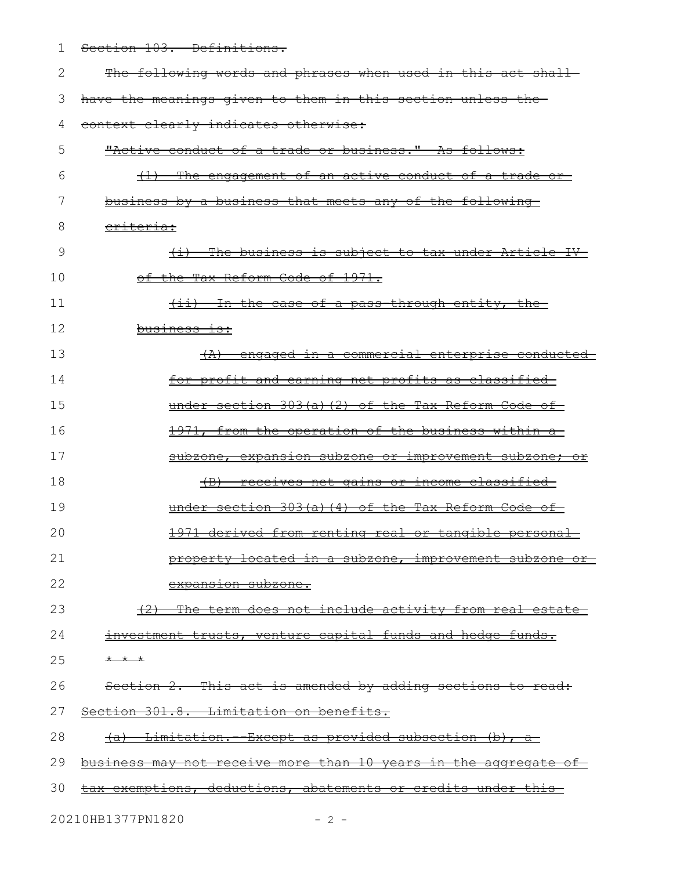1 Section 103. Definitions.

| 2  | The following words and phrases when used in this act shall-                    |
|----|---------------------------------------------------------------------------------|
| 3  | have the meanings given to them in this section unless the                      |
| 4  | context clearly indicates otherwise:                                            |
| 5  | "Active conduct of a trade or business." As follows:                            |
| 6  | The engagement of an active conduct of a trade or<br>$\left(\frac{1}{2}\right)$ |
| 7  | business by a business that meets any of the following                          |
| 8  | <del>eriteria:</del>                                                            |
| 9  | (i) The business is subject to tax under Article IV-                            |
| 10 | of the Tax Reform Code of 1971.                                                 |
| 11 | (ii) In the case of a pass-through entity, the                                  |
| 12 | business is:                                                                    |
| 13 | (A) engaged in a commercial enterprise conducted                                |
| 14 | for profit and earning net profits as classified                                |
| 15 | under section 303(a)(2) of the Tax Reform Code of                               |
| 16 | 1971, from the operation of the business within a                               |
| 17 | subzone, expansion subzone or improvement subzone; or                           |
| 18 | <u>(B) receives net gains or income classified-</u>                             |
| 19 | under section $303(a)$ (4) of the Tax Reform Code of                            |
| 20 | 1971 derived from renting real or tangible personal                             |
| 21 | property located in a subzone, improvement subzone or                           |
| 22 | expansion subzone.                                                              |
| 23 | (2) The term does not include activity from real estate                         |
| 24 | investment trusts, venture capital funds and hedge funds.                       |
| 25 | * * *                                                                           |
| 26 | Section 2. This act is amended by adding sections to read:                      |
| 27 | Section 301.8. Limitation on benefits.                                          |
| 28 | <u>(a) Limitation. Except as provided subsection (b), a-</u>                    |
| 29 | business may not receive more than 10 years in the aggregate of                 |
| 30 | tax exemptions, deductions, abatements or credits under this                    |
|    | 20210HB1377PN1820<br>$-2 -$                                                     |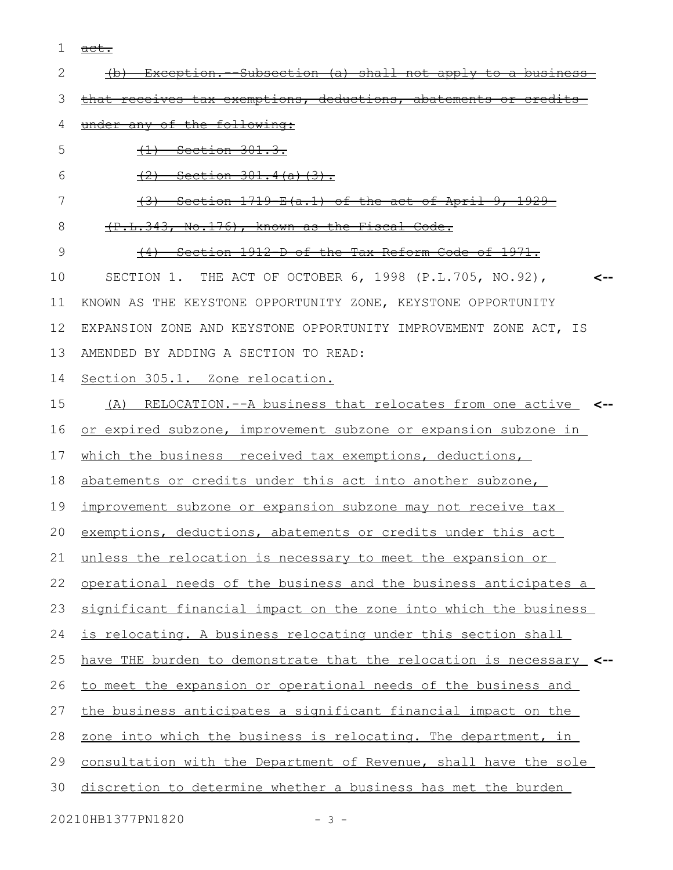act. 1

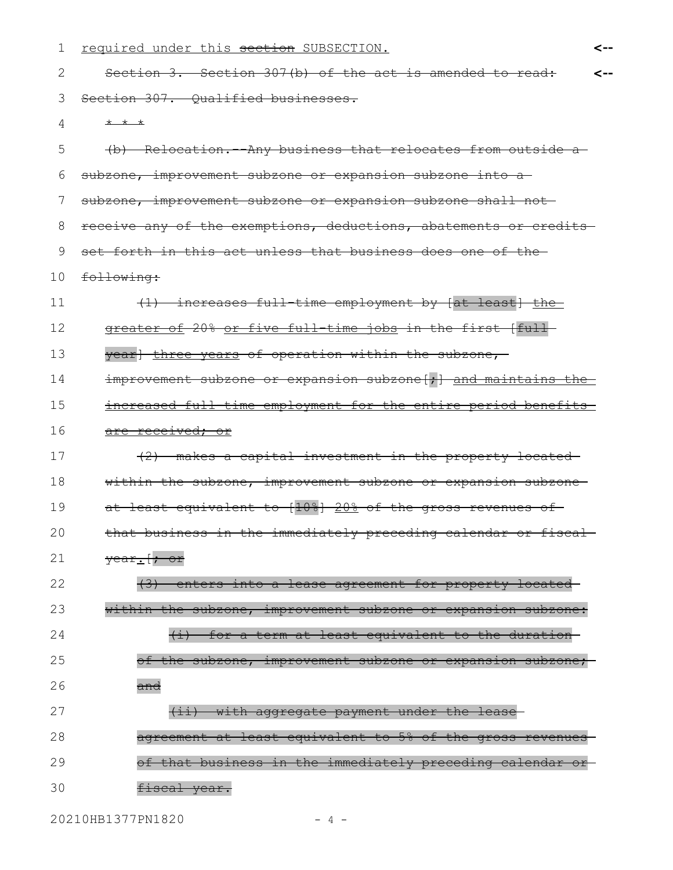| 1  | required under this section SUBSECTION.                              | <-- |
|----|----------------------------------------------------------------------|-----|
| 2  | Section 3. Section 307(b) of the act is amended to read:             | <-- |
| 3  | Section 307. Oualified businesses.                                   |     |
| 4  | $+$ $+$ $+$                                                          |     |
| 5  | (b) Relocation. Any business that relocates from outside a           |     |
| 6  | subzone, improvement subzone or expansion subzone into a             |     |
| 7  | subzone, improvement subzone or expansion subzone shall not-         |     |
| 8  | receive any of the exemptions, deductions, abatements or credits-    |     |
| 9  | set forth in this act unless that business does one of the-          |     |
| 10 | following:                                                           |     |
| 11 | (1) increases full time employment by [at least] the                 |     |
| 12 | greater of 20% or five full time jobs in the first [full-            |     |
| 13 | year] three years of operation within the subzone,                   |     |
| 14 | improvement subzone or expansion subzone[;] and maintains the        |     |
| 15 | increased full time employment for the entire period benefits        |     |
| 16 | <u>are received; or</u>                                              |     |
| 17 | (2) makes a capital investment in the property located-              |     |
| 18 | within the subzone, improvement subzone or expansion subzone-        |     |
| 19 | at least equivalent to [10%] 20% of the gross revenues of-           |     |
| 20 | that business in the immediately preceding calendar or fiscal        |     |
| 21 | $\frac{\text{year}}{\text{cm}}$ or                                   |     |
| 22 | (3) enters into a lease agreement for property located               |     |
| 23 | within the subzone, improvement subzone or expansion subzone:        |     |
| 24 | for a term at least equivalent to the duration<br>$\overline{(\pm)}$ |     |
| 25 | of the subzone, improvement subzone or expansion subzone;            |     |
| 26 | <del>and</del>                                                       |     |
| 27 | (ii) with aggregate payment under the lease                          |     |
| 28 | agreement at least equivalent to 5% of the gross revenues            |     |
| 29 | of that business in the immediately preceding calendar               |     |
| 30 | fiscal year.                                                         |     |

20210HB1377PN1820 - 4 -